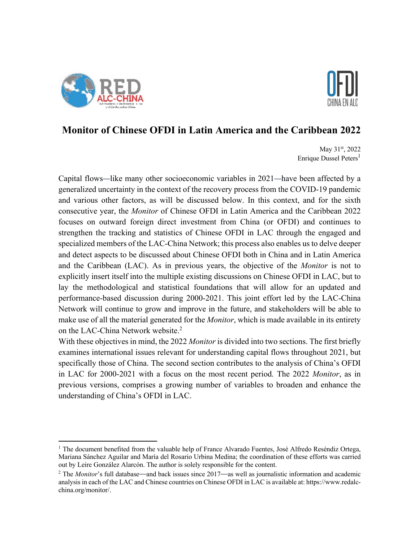



# **Monitor of Chinese OFDI in Latin America and the Caribbean 2022**

May 31<sup>st</sup>, 2022 Enrique Dussel Peters<sup>1</sup>

Capital flows—like many other socioeconomic variables in 2021—have been affected by a generalized uncertainty in the context of the recovery process from the COVID-19 pandemic and various other factors, as will be discussed below. In this context, and for the sixth consecutive year, the *Monitor* of Chinese OFDI in Latin America and the Caribbean 2022 focuses on outward foreign direct investment from China (or OFDI) and continues to strengthen the tracking and statistics of Chinese OFDI in LAC through the engaged and specialized members of the LAC-China Network; this process also enables us to delve deeper and detect aspects to be discussed about Chinese OFDI both in China and in Latin America and the Caribbean (LAC). As in previous years, the objective of the *Monitor* is not to explicitly insert itself into the multiple existing discussions on Chinese OFDI in LAC, but to lay the methodological and statistical foundations that will allow for an updated and performance-based discussion during 2000-2021. This joint effort led by the LAC-China Network will continue to grow and improve in the future, and stakeholders will be able to make use of all the material generated for the *Monitor*, which is made available in its entirety on the LAC-China Network website. 2

With these objectives in mind, the 2022 *Monitor* is divided into two sections. The first briefly examines international issues relevant for understanding capital flows throughout 2021, but specifically those of China. The second section contributes to the analysis of China's OFDI in LAC for 2000-2021 with a focus on the most recent period. The 2022 *Monitor*, as in previous versions, comprises a growing number of variables to broaden and enhance the understanding of China's OFDI in LAC.

 $1$  The document benefited from the valuable help of France Alvarado Fuentes, José Alfredo Reséndiz Ortega, Mariana Sánchez Aguilar and María del Rosario Urbina Medina; the coordination of these efforts was carried out by Leire González Alarcón. The author is solely responsible for the content.

<sup>&</sup>lt;sup>2</sup> The *Monitor*'s full database—and back issues since 2017—as well as journalistic information and academic analysis in each of the LAC and Chinese countries on Chinese OFDI in LAC is available at: https://www.redalcchina.org/monitor/.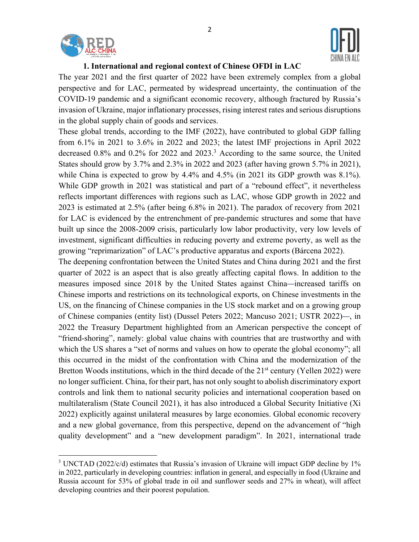



#### **1. International and regional context of Chinese OFDI in LAC**

The year 2021 and the first quarter of 2022 have been extremely complex from a global perspective and for LAC, permeated by widespread uncertainty, the continuation of the COVID-19 pandemic and a significant economic recovery, although fractured by Russia's invasion of Ukraine, major inflationary processes, rising interest rates and serious disruptions in the global supply chain of goods and services.

These global trends, according to the IMF (2022), have contributed to global GDP falling from 6.1% in 2021 to 3.6% in 2022 and 2023; the latest IMF projections in April 2022 decreased 0.8% and 0.2% for 2022 and 2023. <sup>3</sup> According to the same source, the United States should grow by 3.7% and 2.3% in 2022 and 2023 (after having grown 5.7% in 2021), while China is expected to grow by 4.4% and 4.5% (in 2021 its GDP growth was 8.1%). While GDP growth in 2021 was statistical and part of a "rebound effect", it nevertheless reflects important differences with regions such as LAC, whose GDP growth in 2022 and 2023 is estimated at 2.5% (after being 6.8% in 2021). The paradox of recovery from 2021 for LAC is evidenced by the entrenchment of pre-pandemic structures and some that have built up since the 2008-2009 crisis, particularly low labor productivity, very low levels of investment, significant difficulties in reducing poverty and extreme poverty, as well as the growing "reprimarization" of LAC's productive apparatus and exports (Bárcena 2022).

The deepening confrontation between the United States and China during 2021 and the first quarter of 2022 is an aspect that is also greatly affecting capital flows. In addition to the measures imposed since 2018 by the United States against China—increased tariffs on Chinese imports and restrictions on its technological exports, on Chinese investments in the US, on the financing of Chinese companies in the US stock market and on a growing group of Chinese companies (entity list) (Dussel Peters 2022; Mancuso 2021; USTR 2022)—, in 2022 the Treasury Department highlighted from an American perspective the concept of "friend-shoring", namely: global value chains with countries that are trustworthy and with which the US shares a "set of norms and values on how to operate the global economy"; all this occurred in the midst of the confrontation with China and the modernization of the Bretton Woods institutions, which in the third decade of the  $21<sup>st</sup>$  century (Yellen 2022) were no longer sufficient. China, for their part, has not only sought to abolish discriminatory export controls and link them to national security policies and international cooperation based on multilateralism (State Council 2021), it has also introduced a Global Security Initiative (Xi 2022) explicitly against unilateral measures by large economies. Global economic recovery and a new global governance, from this perspective, depend on the advancement of "high quality development" and a "new development paradigm". In 2021, international trade

<sup>&</sup>lt;sup>3</sup> UNCTAD (2022/c/d) estimates that Russia's invasion of Ukraine will impact GDP decline by 1% in 2022, particularly in developing countries: inflation in general, and especially in food (Ukraine and Russia account for 53% of global trade in oil and sunflower seeds and 27% in wheat), will affect developing countries and their poorest population.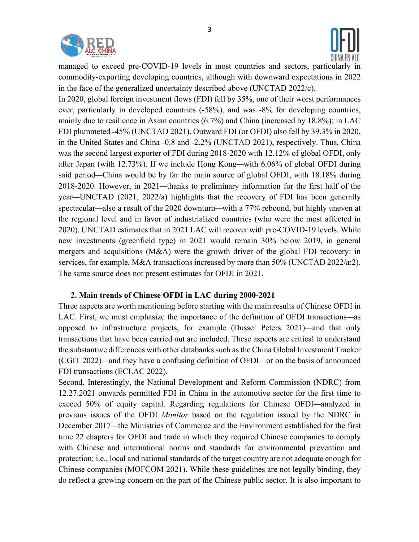

managed to exceed pre-COVID-19 levels in most countries and sectors, particularly in commodity-exporting developing countries, although with downward expectations in 2022 in the face of the generalized uncertainty described above (UNCTAD 2022/c).

In 2020, global foreign investment flows (FDI) fell by 35%, one of their worst performances ever, particularly in developed countries (-58%), and was -8% for developing countries, mainly due to resilience in Asian countries (6.7%) and China (increased by 18.8%); in LAC FDI plummeted -45% (UNCTAD 2021). Outward FDI (or OFDI) also fell by 39.3% in 2020, in the United States and China -0.8 and -2.2% (UNCTAD 2021), respectively. Thus, China was the second largest exporter of FDI during 2018-2020 with 12.12% of global OFDI, only after Japan (with 12.73%). If we include Hong Kong—with 6.06% of global OFDI during said period—China would be by far the main source of global OFDI, with 18.18% during 2018-2020. However, in 2021—thanks to preliminary information for the first half of the year—UNCTAD (2021, 2022/a) highlights that the recovery of FDI has been generally spectacular—also a result of the 2020 downturn—with a 77% rebound, but highly uneven at the regional level and in favor of industrialized countries (who were the most affected in 2020). UNCTAD estimates that in 2021 LAC will recover with pre-COVID-19 levels. While new investments (greenfield type) in 2021 would remain 30% below 2019, in general mergers and acquisitions (M&A) were the growth driver of the global FDI recovery: in services, for example, M&A transactions increased by more than 50% (UNCTAD 2022/a:2). The same source does not present estimates for OFDI in 2021.

### **2. Main trends of Chinese OFDI in LAC during 2000-2021**

Three aspects are worth mentioning before starting with the main results of Chinese OFDI in LAC. First, we must emphasize the importance of the definition of OFDI transactions—as opposed to infrastructure projects, for example (Dussel Peters 2021)—and that only transactions that have been carried out are included. These aspects are critical to understand the substantive differences with other databanks such as the China Global Investment Tracker (CGIT 2022)—and they have a confusing definition of OFDI—or on the basis of announced FDI transactions (ECLAC 2022).

Second. Interestingly, the National Development and Reform Commission (NDRC) from 12.27.2021 onwards permitted FDI in China in the automotive sector for the first time to exceed 50% of equity capital. Regarding regulations for Chinese OFDI—analyzed in previous issues of the OFDI *Monitor* based on the regulation issued by the NDRC in December 2017—the Ministries of Commerce and the Environment established for the first time 22 chapters for OFDI and trade in which they required Chinese companies to comply with Chinese and international norms and standards for environmental prevention and protection; i.e., local and national standards of the target country are not adequate enough for Chinese companies (MOFCOM 2021). While these guidelines are not legally binding, they do reflect a growing concern on the part of the Chinese public sector. It is also important to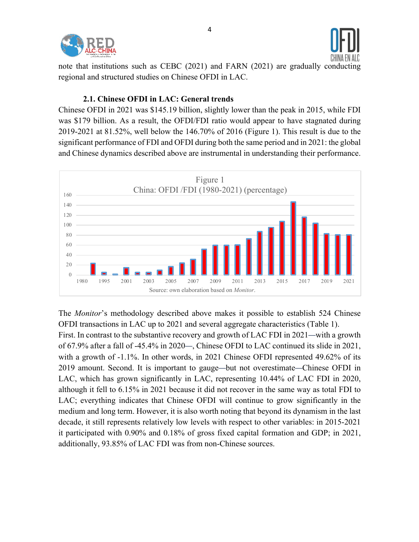



note that institutions such as CEBC (2021) and FARN (2021) are gradually conducting regional and structured studies on Chinese OFDI in LAC.

#### **2.1. Chinese OFDI in LAC: General trends**

Chinese OFDI in 2021 was \$145.19 billion, slightly lower than the peak in 2015, while FDI was \$179 billion. As a result, the OFDI/FDI ratio would appear to have stagnated during 2019-2021 at 81.52%, well below the 146.70% of 2016 (Figure 1). This result is due to the significant performance of FDI and OFDI during both the same period and in 2021: the global and Chinese dynamics described above are instrumental in understanding their performance.



The *Monitor*'s methodology described above makes it possible to establish 524 Chinese OFDI transactions in LAC up to 2021 and several aggregate characteristics (Table 1).

First. In contrast to the substantive recovery and growth of LAC FDI in 2021—with a growth of 67.9% after a fall of -45.4% in 2020—, Chinese OFDI to LAC continued its slide in 2021, with a growth of -1.1%. In other words, in 2021 Chinese OFDI represented 49.62% of its 2019 amount. Second. It is important to gauge—but not overestimate—Chinese OFDI in LAC, which has grown significantly in LAC, representing 10.44% of LAC FDI in 2020, although it fell to 6.15% in 2021 because it did not recover in the same way as total FDI to LAC; everything indicates that Chinese OFDI will continue to grow significantly in the medium and long term. However, it is also worth noting that beyond its dynamism in the last decade, it still represents relatively low levels with respect to other variables: in 2015-2021 it participated with 0.90% and 0.18% of gross fixed capital formation and GDP; in 2021, additionally, 93.85% of LAC FDI was from non-Chinese sources.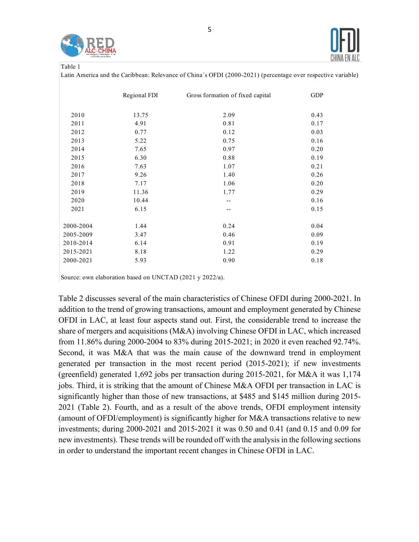



|--|--|

Latin America and the Caribbean: Relevance of China´s OFDI (2000-2021) (percentage over respective variable)

|           | Regional FDI | Gross formation of fixed capital | <b>GDP</b> |
|-----------|--------------|----------------------------------|------------|
| 2010      | 13.75        | 2.09                             | 0.43       |
| 2011      | 4.91         | 0.81                             | 0.17       |
| 2012      | 0.77         | 0.12                             | 0.03       |
| 2013      | 5.22         | 0.75                             | 0.16       |
| 2014      | 7.65         | 0.97                             | 0.20       |
| 2015      | 6.30         | 0.88                             | 0.19       |
| 2016      | 7.63         | 1.07                             | 0.21       |
| 2017      | 9.26         | 1.40                             | 0.26       |
| 2018      | 7.17         | 1.06                             | 0.20       |
| 2019      | 11.36        | 1.77                             | 0.29       |
| 2020      | 10.44        |                                  | 0.16       |
| 2021      | 6.15         |                                  | 0.15       |
| 2000-2004 | 1.44         | 0.24                             | 0.04       |
| 2005-2009 | 3.47         | 0.46                             | 0.09       |
| 2010-2014 | 6.14         | 0.91                             | 0.19       |
| 2015-2021 | 8.18         | 1.22                             | 0.29       |
| 2000-2021 | 5.93         | 0.90                             | 0.18       |

Source: own elaboration based on UNCTAD (2021 y 2022/a).

Table 2 discusses several of the main characteristics of Chinese OFDI during 2000-2021. In addition to the trend of growing transactions, amount and employment generated by Chinese OFDI in LAC, at least four aspects stand out. First, the considerable trend to increase the share of mergers and acquisitions (M&A) involving Chinese OFDI in LAC, which increased from 11.86% during 2000-2004 to 83% during 2015-2021; in 2020 it even reached 92.74%. Second, it was M&A that was the main cause of the downward trend in employment generated per transaction in the most recent period (2015-2021); if new investments (greenfield) generated 1,692 jobs per transaction during 2015-2021, for M&A it was 1,174 jobs. Third, it is striking that the amount of Chinese M&A OFDI per transaction in LAC is significantly higher than those of new transactions, at \$485 and \$145 million during 2015- 2021 (Table 2). Fourth, and as a result of the above trends, OFDI employment intensity (amount of OFDI/employment) is significantly higher for M&A transactions relative to new investments; during 2000-2021 and 2015-2021 it was 0.50 and 0.41 (and 0.15 and 0.09 for new investments). These trends will be rounded off with the analysis in the following sections in order to understand the important recent changes in Chinese OFDI in LAC.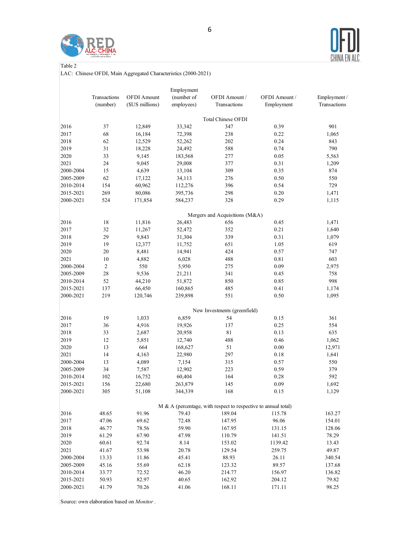



Table 2

LAC: Chinese OFDI, Main Aggregated Characteristics (2000-2021)

|           |                |                    | Employment |                                                                   |               |              |
|-----------|----------------|--------------------|------------|-------------------------------------------------------------------|---------------|--------------|
|           | Transactions   | <b>OFDI</b> Amount | (number of | OFDI Amount /                                                     | OFDI Amount / | Employment / |
|           | (number)       | (\$US millions)    | employees) | Transactions                                                      | Employment    | Transactions |
|           |                |                    |            | Total Chinese OFDI                                                |               |              |
| 2016      | 37             | 12,849             | 33,342     | 347                                                               | 0.39          | 901          |
| 2017      | 68             | 16,184             | 72,398     | 238                                                               | 0.22          | 1,065        |
| 2018      | 62             | 12,529             | 52,262     | 202                                                               | 0.24          | 843          |
| 2019      | 31             | 18,228             | 24,492     | 588                                                               | 0.74          | 790          |
| 2020      | 33             | 9,145              | 183,568    | 277                                                               | 0.05          | 5,563        |
| 2021      | 24             | 9,045              | 29,008     | 377                                                               | 0.31          | 1,209        |
| 2000-2004 | 15             | 4,639              | 13,104     | 309                                                               | 0.35          | 874          |
| 2005-2009 | 62             | 17,122             | 34,113     | 276                                                               | 0.50          | 550          |
| 2010-2014 | 154            | 60,962             | 112,276    | 396                                                               | 0.54          | 729          |
| 2015-2021 | 269            | 80,086             | 395,736    | 298                                                               | 0.20          | 1,471        |
| 2000-2021 | 524            | 171,854            | 584,237    | 328                                                               | 0.29          | 1,115        |
|           |                |                    |            |                                                                   |               |              |
|           |                |                    |            | Mergers and Acquisitions (M&A)                                    |               |              |
| 2016      | 18             | 11,816             | 26,483     | 656                                                               | 0.45          | 1,471        |
| 2017      | 32             | 11,267             | 52,472     | 352                                                               | 0.21          | 1,640        |
| 2018      | 29             | 9,843              | 31,304     | 339                                                               | 0.31          | 1,079        |
| 2019      | 19             | 12,377             | 11,752     | 651                                                               | 1.05          | 619          |
| 2020      | 20             | 8,481              | 14,941     | 424                                                               | 0.57          | 747          |
| 2021      | 10             | 4,882              | 6,028      | 488                                                               | 0.81          | 603          |
| 2000-2004 | $\overline{c}$ | 550                | 5,950      | 275                                                               | 0.09          | 2,975        |
| 2005-2009 | 28             | 9,536              | 21,211     | 341                                                               | 0.45          | 758          |
| 2010-2014 | 52             | 44,210             | 51,872     | 850                                                               | 0.85          | 998          |
| 2015-2021 | 137            | 66,450             | 160,865    | 485                                                               | 0.41          | 1,174        |
| 2000-2021 | 219            | 120,746            | 239,898    | 551                                                               | 0.50          | 1,095        |
|           |                |                    |            | New Investments (greenfield)                                      |               |              |
| 2016      | 19             | 1,033              | 6,859      | 54                                                                | 0.15          | 361          |
| 2017      | 36             | 4,916              | 19,926     | 137                                                               | 0.25          | 554          |
| 2018      | 33             | 2,687              | 20,958     | 81                                                                | 0.13          | 635          |
| 2019      | 12             | 5,851              | 12,740     | 488                                                               | 0.46          | 1,062        |
| 2020      | 13             | 664                | 168,627    | 51                                                                | 0.00          | 12,971       |
| 2021      | 14             | 4,163              | 22,980     | 297                                                               | 0.18          | 1,641        |
| 2000-2004 | 13             | 4,089              | 7,154      | 315                                                               | 0.57          | 550          |
| 2005-2009 | 34             | 7,587              | 12,902     | 223                                                               | 0.59          | 379          |
| 2010-2014 | 102            | 16,752             | 60,404     | 164                                                               | 0.28          | 592          |
| 2015-2021 | 156            | 22,680             | 263,879    | 145                                                               | 0.09          | 1,692        |
| 2000-2021 | 305            | 51,108             | 344,339    | 168                                                               | 0.15          | 1,129        |
|           |                |                    |            | $M \& A$ (percentage, with respect to respective to annual total) |               |              |
| 2016      | 48.65          | 91.96              | 79.43      | 189.04                                                            | 115.78        | 163.27       |
| 2017      | 47.06          | 69.62              | 72.48      | 147.95                                                            | 96.06         | 154.01       |
| 2018      | 46.77          | 78.56              | 59.90      | 167.95                                                            | 131.15        | 128.06       |
| 2019      | 61.29          | 67.90              | 47.98      | 110.79                                                            | 141.51        | 78.29        |
| 2020      | 60.61          | 92.74              | 8.14       | 153.02                                                            | 1139.42       | 13.43        |
| 2021      | 41.67          | 53.98              | 20.78      | 129.54                                                            | 259.75        | 49.87        |
| 2000-2004 | 13.33          | 11.86              | 45.41      | 88.93                                                             | 26.11         | 340.54       |
| 2005-2009 | 45.16          | 55.69              | 62.18      | 123.32                                                            | 89.57         | 137.68       |
| 2010-2014 | 33.77          | 72.52              | 46.20      | 214.77                                                            | 156.97        | 136.82       |
| 2015-2021 | 50.93          | 82.97              | 40.65      | 162.92                                                            | 204.12        | 79.82        |
| 2000-2021 | 41.79          | 70.26              | 41.06      | 168.11                                                            | 171.11        | 98.25        |
|           |                |                    |            |                                                                   |               |              |

Source: own elaboration based on *Monitor*.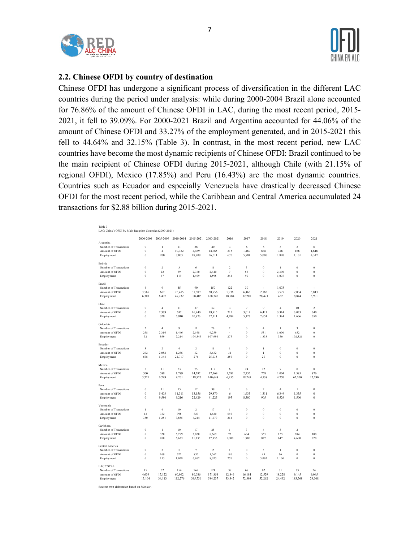



**2.2. Chinese OFDI by country of destination**

Chinese OFDI has undergone a significant process of diversification in the different LAC countries during the period under analysis: while during 2000-2004 Brazil alone accounted for 76.86% of the amount of Chinese OFDI in LAC, during the most recent period, 2015- 2021, it fell to 39.09%. For 2000-2021 Brazil and Argentina accounted for 44.06% of the amount of Chinese OFDI and 33.27% of the employment generated, and in 2015-2021 this fell to 44.64% and 32.15% (Table 3). In contrast, in the most recent period, new LAC countries have become the most dynamic recipients of Chinese OFDI: Brazil continued to be the main recipient of Chinese OFDI during 2015-2021, although Chile (with 21.15% of regional OFDI), Mexico (17.85%) and Peru (16.43%) are the most dynamic countries. Countries such as Ecuador and especially Venezuela have drastically decreased Chinese OFDI for the most recent period, while the Caribbean and Central America accumulated 24 transactions for \$2.88 billion during 2015-2021.

| Table 3<br>LAC: China's OFDI by Main Recipient Countries (2000-2021) |                     |                         |           |                |           |                |                   |                         |                  |                         |                  |
|----------------------------------------------------------------------|---------------------|-------------------------|-----------|----------------|-----------|----------------|-------------------|-------------------------|------------------|-------------------------|------------------|
|                                                                      | 2000-2004           | 2005-2009               | 2010-2014 | 2015-2021      | 2000-2021 | 2016           | 2017              | 2018                    | 2019             | 2020                    | 2021             |
| Argentina                                                            |                     |                         |           |                |           |                |                   |                         |                  |                         |                  |
| Number of Transactions                                               | $\bf{0}$            | 1                       | 11        | 28             | 40        | 3              | 6                 | 8                       | 3                | $\overline{c}$          | 6                |
| Amount of OFDI                                                       | $\bf{0}$            | $\overline{4}$          | 10,322    | 4,439          | 14,765    | 215            | 1,460             | 638                     | 346              | 166                     | 1,616            |
| Employment                                                           | $\ddot{\mathbf{0}}$ | 200                     | 7,003     | 18,808         | 26,011    | 670            | 5,784             | 5,086                   | 1,820            | 1,101                   | 4,347            |
| Bolivia                                                              |                     |                         |           |                |           |                |                   |                         |                  |                         |                  |
| Number of Transactions                                               | $\bf{0}$            | $\,2\,$                 | 3         | 6              | 11        | $\overline{2}$ | $\sqrt{3}$        | $\bf{0}$                | $\,1$            | $\bf{0}$                | $\bf{0}$         |
| Amount of OFDI                                                       | $\bf{0}$            | 22                      | 59        | 2,360          | 2,440     | $\tau$         | 53                | $\bf{0}$                | 2,300            | $\mathbf{0}$            | $\bf{0}$         |
| Employment                                                           | $\ddot{\mathbf{0}}$ | 67                      | 119       | 1,409          | 1,595     | 244            | 90                | $\bf{0}$                | 1.075            | $\mathbf{0}$            | $\theta$         |
| Brazil                                                               |                     |                         |           |                |           |                |                   |                         |                  |                         |                  |
| Number of Transactions                                               | 6                   | 9                       | 45        | 90             | 150       | 122            | 30                | Ĭ.                      | 1.075            |                         |                  |
| Amount of OFDI                                                       | 3,565               | 667                     | 25,415    | 31,309         | 60,956    | 5,936          | 6,468             | 2,162                   | 3,577            | 2,034                   | 5,813            |
|                                                                      |                     |                         |           |                |           |                |                   |                         |                  |                         |                  |
| Employment                                                           | 6,303               | 6,407                   | 47,232    | 108,405        | 168,347   | 18,584         | 32,201            | 28,473                  | 452              | 8,844                   | 5,901            |
| Chile                                                                |                     |                         |           |                |           |                |                   |                         |                  |                         |                  |
| Number of Transactions                                               | $\bf{0}$            | $\overline{4}$          | 11        | 37             | 52        | 3              | $\scriptstyle{7}$ | 9                       | 4                | 10                      | 2                |
| Amount of OFDI                                                       | $\bf{0}$            | 2,339                   | 637       | 16,940         | 19,915    | 215            | 3,014             | 6,413                   | 3,314            | 3,033                   | 640              |
| Employment                                                           | $\bf{0}$            | 328                     | 5,910     | 20,873         | 27,111    | 4,284          | 5,123             | 7,651                   | 1,344            | 1,606                   | 650              |
| Colombia                                                             |                     |                         |           |                |           |                |                   |                         |                  |                         |                  |
| Number of Transactions                                               | $\overline{2}$      | $\overline{4}$          | 9         | 11             | 26        | $\overline{2}$ | $\mathbf{0}$      | $\overline{4}$          | $\mathbf{1}$     | $\overline{\mathbf{3}}$ | $\mathbf{0}$     |
| Amount of OFDI                                                       | 298                 | 2,316                   | 1,446     | 2,198          | 6,259     | $\overline{4}$ | $\mathbf{0}$      | 531                     | 1.000            | 652                     | $\theta$         |
| Employment                                                           | 32                  | 899                     | 2,214     | 104,849        | 107,994   | 275            | $\bf{0}$          | 1,333                   | 350              | 102,821                 | $\bf{0}$         |
| Ecuador                                                              |                     |                         |           |                |           |                |                   |                         |                  |                         |                  |
| Number of Transactions                                               | 3                   | $\overline{2}$          | 4         | $\overline{c}$ | 11        | $\,1$          | $\bf{0}$          | $\,1\,$                 | $\boldsymbol{0}$ | $\bf{0}$                | $\bf{0}$         |
| Amount of OFDI                                                       | 262                 | 2,052                   | 1,286     | 32             | 3,632     | 31             | $\bf{0}$          | $\,1\,$                 | $\boldsymbol{0}$ | $\bf{0}$                | $\boldsymbol{0}$ |
| Employment                                                           | 698                 | 1,344                   | 22,717    | 276            | 25,035    | 250            | $\mathbf{0}$      | 26                      | $\boldsymbol{0}$ | $\mathbf{0}$            | $\mathbf{0}$     |
| Mexico                                                               |                     |                         |           |                |           |                |                   |                         |                  |                         |                  |
| Number of Transactions                                               | 3                   | 11                      | 23        | 75             | 112       | 6              | 24                | 12                      | 7                | 8                       | 8                |
| Amount of OFDI                                                       | 500                 | 588                     | 1,789     | 14,292         | 17,169    | 5,581          | 2,755             | 758                     | 1,004            | 1,385                   | 876              |
| Employment                                                           | 5,721               | 6,799                   | 9,201     | 118,927        | 140,648   | 6,955          | 18,249            | 4,538                   | 4,770            | 62,200                  | 17,290           |
|                                                                      |                     |                         |           |                |           |                |                   |                         |                  |                         |                  |
| Peru                                                                 |                     |                         |           |                |           |                |                   |                         |                  |                         |                  |
| Number of Transactions                                               | $\ddot{\mathbf{0}}$ | 11                      | 15        | 12             | 38        | $\mathbf{1}$   | 3                 | $\,2$                   | $\overline{4}$   | 1                       | $\theta$         |
| Amount of OFDI                                                       | $\bf{0}$            | 5,403                   | 11.311    | 13,156         | 29,870    | 6              | 1,635             | 1,311                   | 6,349            | 1.355                   | $\theta$         |
| Employment                                                           | $\bf{0}$            | 9,580                   | 9,216     | 22,429         | 41,225    | 195            | 8,300             | 905                     | 8,529            | 1,500                   | $\mathbf{0}$     |
| Venezuela                                                            |                     |                         |           |                |           |                |                   |                         |                  |                         |                  |
| Number of Transactions                                               | $\mathbf{1}$        | $\overline{4}$          | 10        | $\overline{c}$ | 17        | $\mathbf{1}$   | $\mathbf{0}$      | $\bf{0}$                | $\boldsymbol{0}$ | $\bf{0}$                | $\bf{0}$         |
| Amount of OFDI                                                       | 13                  | 382                     | 398       | 827            | 1,620     | 549            | $\bf{0}$          | $\bf{0}$                | $\boldsymbol{0}$ | $\theta$                | $\Omega$         |
| Employment                                                           | 350                 | 1,251                   | 3,855     | 6,214          | 11,670    | 214            | $\bf{0}$          | $\bf{0}$                | $\boldsymbol{0}$ | $\bf{0}$                | $\boldsymbol{0}$ |
| Caribbean                                                            |                     |                         |           |                |           |                |                   |                         |                  |                         |                  |
| Number of Transactions                                               | $\bf{0}$            | $1\,$                   | 10        | 17             | 28        | $\,1$          | 3                 | $\overline{4}$          | $\mathfrak z$    | $\overline{2}$          | $\mathbf{1}$     |
| Amount of OFDI                                                       | $\ddot{\mathbf{0}}$ | 320                     | 6,299     | 2,050          | 8,669     | 72             | 684               | 335                     | 155              | 284                     | 100              |
| Employment                                                           | $\ddot{\mathbf{0}}$ | 200                     | 6,623     | 11,133         | 17,956    | 1,000          | 1,900             | 827                     | 647              | 4,600                   | 820              |
| Central America                                                      |                     |                         |           |                |           |                |                   |                         |                  |                         |                  |
| Number of Transactions                                               | $\bf{0}$            | $\overline{\mathbf{3}}$ | 5         | $\overline{7}$ | 15        | $\mathbf{1}$   | $\mathbf{0}$      | $\overline{\mathbf{3}}$ | $\mathbf{1}$     | $\mathbf{0}$            | $\theta$         |
| Amount of OFDI                                                       | $\bf{0}$            | 109                     | 622       | 830            | 1,562     | 180            | $\bf{0}$          | 43                      | 36               | $\bf{0}$                | $\bf{0}$         |
| Employment                                                           | $\bf{0}$            | 155                     | 1,058     | 6,862          | 8,075     | 270            | $\bf{0}$          | 5,067                   | 1,100            | $\bf{0}$                | $\boldsymbol{0}$ |
|                                                                      |                     |                         |           |                |           |                |                   |                         |                  |                         |                  |
| LAC TOTAL                                                            |                     |                         |           |                |           |                |                   |                         |                  |                         |                  |
| Number of Transactions                                               | 15                  | 62<br>17.122            | 154       | 269            | 524       | 37             | 68                | 62<br>12.529            | 31               | 33<br>9.145             | 24               |
| Amount of OFDI                                                       | 4,639               |                         | 60,962    | 80,086         | 171,854   | 12,849         | 16,184            |                         | 18,228           |                         | 9,045            |
| Employment                                                           | 13.104              | 34.113                  | 112.276   | 395,736        | 584,237   | 33.342         | 72.398            | 52.262                  | 24,492           | 183,568                 | 29,008           |

Source: own elaboration based on *Monitor*.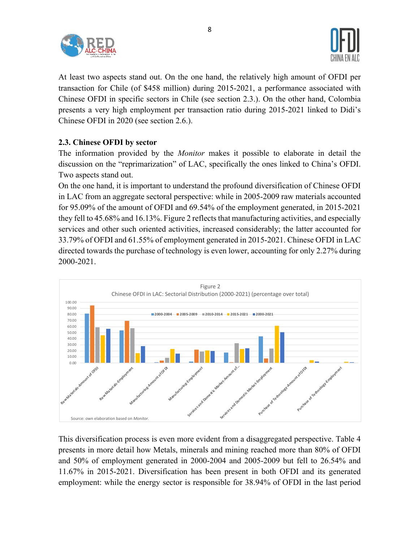



At least two aspects stand out. On the one hand, the relatively high amount of OFDI per transaction for Chile (of \$458 million) during 2015-2021, a performance associated with Chinese OFDI in specific sectors in Chile (see section 2.3.). On the other hand, Colombia presents a very high employment per transaction ratio during 2015-2021 linked to Didi's Chinese OFDI in 2020 (see section 2.6.).

## **2.3. Chinese OFDI by sector**

The information provided by the *Monitor* makes it possible to elaborate in detail the discussion on the "reprimarization" of LAC, specifically the ones linked to China's OFDI. Two aspects stand out.

On the one hand, it is important to understand the profound diversification of Chinese OFDI in LAC from an aggregate sectoral perspective: while in 2005-2009 raw materials accounted for 95.09% of the amount of OFDI and 69.54% of the employment generated, in 2015-2021 they fell to 45.68% and 16.13%. Figure 2 reflects that manufacturing activities, and especially services and other such oriented activities, increased considerably; the latter accounted for 33.79% of OFDI and 61.55% of employment generated in 2015-2021. Chinese OFDI in LAC directed towards the purchase of technology is even lower, accounting for only 2.27% during 2000-2021.



This diversification process is even more evident from a disaggregated perspective. Table 4 presents in more detail how Metals, minerals and mining reached more than 80% of OFDI and 50% of employment generated in 2000-2004 and 2005-2009 but fell to 26.54% and 11.67% in 2015-2021. Diversification has been present in both OFDI and its generated employment: while the energy sector is responsible for 38.94% of OFDI in the last period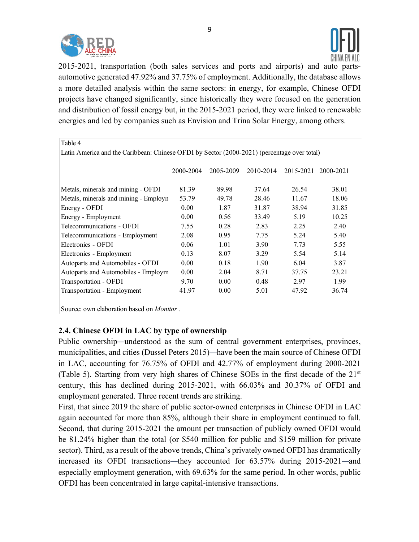



2015-2021, transportation (both sales services and ports and airports) and auto partsautomotive generated 47.92% and 37.75% of employment. Additionally, the database allows a more detailed analysis within the same sectors: in energy, for example, Chinese OFDI projects have changed significantly, since historically they were focused on the generation and distribution of fossil energy but, in the 2015-2021 period, they were linked to renewable energies and led by companies such as Envision and Trina Solar Energy, among others.

| Table 4                                                                                     |           |           |           |           |           |  |  |  |  |  |
|---------------------------------------------------------------------------------------------|-----------|-----------|-----------|-----------|-----------|--|--|--|--|--|
| Latin America and the Caribbean: Chinese OFDI by Sector (2000-2021) (percentage over total) |           |           |           |           |           |  |  |  |  |  |
|                                                                                             |           |           |           |           |           |  |  |  |  |  |
|                                                                                             | 2000-2004 | 2005-2009 | 2010-2014 | 2015-2021 | 2000-2021 |  |  |  |  |  |
|                                                                                             |           |           |           |           |           |  |  |  |  |  |
| Metals, minerals and mining - OFDI                                                          | 81.39     | 89.98     | 37.64     | 26.54     | 38.01     |  |  |  |  |  |
| Metals, minerals and mining - Employn                                                       | 53.79     | 49.78     | 28.46     | 11.67     | 18.06     |  |  |  |  |  |
| Energy - OFDI                                                                               | 0.00      | 1.87      | 31.87     | 38.94     | 31.85     |  |  |  |  |  |
| Energy - Employment                                                                         | 0.00      | 0.56      | 33.49     | 5.19      | 10.25     |  |  |  |  |  |
| Telecommunications - OFDI                                                                   | 7.55      | 0.28      | 2.83      | 2.25      | 2.40      |  |  |  |  |  |
| Telecommunications - Employment                                                             | 2.08      | 0.95      | 7.75      | 5.24      | 5.40      |  |  |  |  |  |
| Electronics - OFDI                                                                          | 0.06      | 1.01      | 3.90      | 7.73      | 5.55      |  |  |  |  |  |
| Electronics - Employment                                                                    | 0.13      | 8.07      | 3.29      | 5.54      | 5.14      |  |  |  |  |  |
| Autoparts and Automobiles - OFDI                                                            | 0.00      | 0.18      | 1.90      | 6.04      | 3.87      |  |  |  |  |  |
| Autoparts and Automobiles - Employm                                                         | 0.00      | 2.04      | 8.71      | 37.75     | 23.21     |  |  |  |  |  |
| Transportation - OFDI                                                                       | 9.70      | 0.00      | 0.48      | 2.97      | 1.99      |  |  |  |  |  |
| Transportation - Employment                                                                 | 41.97     | 0.00      | 5.01      | 47.92     | 36.74     |  |  |  |  |  |

Source: own elaboration based on *Monitor*.

### **2.4. Chinese OFDI in LAC by type of ownership**

Public ownership—understood as the sum of central government enterprises, provinces, municipalities, and cities (Dussel Peters 2015)—have been the main source of Chinese OFDI in LAC, accounting for 76.75% of OFDI and 42.77% of employment during 2000-2021 (Table 5). Starting from very high shares of Chinese SOEs in the first decade of the 21st century, this has declined during 2015-2021, with 66.03% and 30.37% of OFDI and employment generated. Three recent trends are striking.

First, that since 2019 the share of public sector-owned enterprises in Chinese OFDI in LAC again accounted for more than 85%, although their share in employment continued to fall. Second, that during 2015-2021 the amount per transaction of publicly owned OFDI would be 81.24% higher than the total (or \$540 million for public and \$159 million for private sector). Third, as a result of the above trends, China's privately owned OFDI has dramatically increased its OFDI transactions—they accounted for 63.57% during 2015-2021—and especially employment generation, with 69.63% for the same period. In other words, public OFDI has been concentrated in large capital-intensive transactions.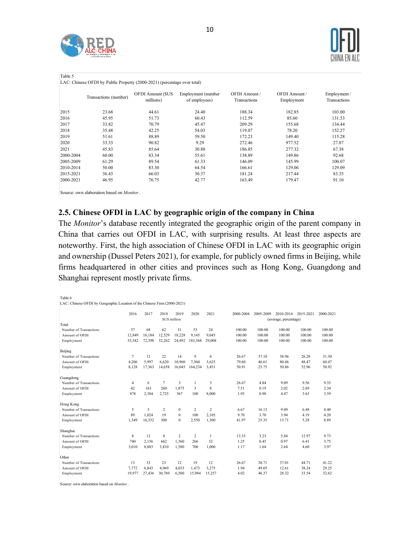



Table 5

LAC: Chinese OFDI by Public Property (2000-2021) (percentage over total)

|           | Transactions (number) | OFDI Amount (\$US<br>millions) | Employment (number<br>of employees) | OFDI Amount/<br>Transactions | OFDI Amount /<br>Employment | Employment/<br><b>Transactions</b> |
|-----------|-----------------------|--------------------------------|-------------------------------------|------------------------------|-----------------------------|------------------------------------|
| 2015      | 23.68                 | 44.61                          | 24.40                               | 188.34                       | 182.85                      | 103.00                             |
| 2016      | 45.95                 | 51.73                          | 60.43                               | 112.59                       | 85.60                       | 131.53                             |
| 2017      | 33.82                 | 70.79                          | 45.47                               | 209.29                       | 155.68                      | 134.44                             |
| 2018      | 35.48                 | 42.25                          | 54.03                               | 119.07                       | 78.20                       | 152.27                             |
| 2019      | 51.61                 | 88.89                          | 59.50                               | 172.23                       | 149.40                      | 115.28                             |
| 2020      | 33.33                 | 90.82                          | 9.29                                | 272.46                       | 977.52                      | 27.87                              |
| 2021      | 45.83                 | 85.64                          | 30.88                               | 186.85                       | 277.32                      | 67.38                              |
| 2000-2004 | 60.00                 | 83.34                          | 55.61                               | 138.89                       | 149.86                      | 92.68                              |
| 2005-2009 | 61.29                 | 89.54                          | 61.33                               | 146.09                       | 145.99                      | 100.07                             |
| 2010-2014 | 50.00                 | 83.30                          | 64.54                               | 166.61                       | 129.06                      | 129.09                             |
| 2015-2021 | 36.43                 | 66.03                          | 30.37                               | 181.24                       | 217.44                      | 83.35                              |
| 2000-2021 | 46.95                 | 76.75                          | 42.77                               | 163.49                       | 179.47                      | 91.10                              |
|           |                       |                                |                                     |                              |                             |                                    |

Source: own elaboration based on *Monitor*.

#### **2.5. Chinese OFDI in LAC by geographic origin of the company in China**

The *Monitor*'s database recently integrated the geographic origin of the parent company in China that carries out OFDI in LAC, with surprising results. At least three aspects are noteworthy. First, the high association of Chinese OFDI in LAC with its geographic origin and ownership (Dussel Peters 2021), for example, for publicly owned firms in Beijing, while firms headquartered in other cities and provinces such as Hong Kong, Guangdong and Shanghai represent mostly private firms.

| Table 6<br>LAC: Chinese OFDI by Geographic Location of the Chinese Firm (2000-2021) |                |        |                      |                |                |                |           |           |                                    |           |           |
|-------------------------------------------------------------------------------------|----------------|--------|----------------------|----------------|----------------|----------------|-----------|-----------|------------------------------------|-----------|-----------|
|                                                                                     | 2016           | 2017   | 2018<br>\$US million | 2019           | 2020           | 2021           | 2000-2004 | 2005-2009 | 2010-2014<br>(average, percentage) | 2015-2021 | 2000-2021 |
| Total                                                                               |                |        |                      |                |                |                |           |           |                                    |           |           |
| Number of Transactions                                                              | 37             | 68     | 62                   | 31             | 33             | 24             | 100.00    | 100.00    | 100.00                             | 100.00    | 100.00    |
| Amount of OFDI                                                                      | 12.849         | 16,184 | 12.529               | 18.228         | 9.145          | 9.045          | 100.00    | 100.00    | 100.00                             | 100.00    | 100.00    |
| Employment                                                                          | 33,342         | 72,398 | 52,262               | 24,492         | 183,568        | 29,008         | 100.00    | 100.00    | 100.00                             | 100.00    | 100.00    |
| Beijing                                                                             |                |        |                      |                |                |                |           |           |                                    |           |           |
| Number of Transactions                                                              | $\tau$         | 12     | 22                   | 14             | 9              | 6              | 26.67     | 37.10     | 38.96                              | 26.28     | 31.30     |
| Amount of OFDI                                                                      | 4.206          | 5.997  | 6.620                | 10.960         | 7.304          | 3.625          | 79.60     | 46.61     | 80.46                              | 48.47     | 60.47     |
| Employment                                                                          | 8,128          | 17.363 | 14,658               | 16,045         | 164,234        | 3,451          | 50.91     | 25.75     | 50.86                              | 52.96     | 50.92     |
| Guangdong                                                                           |                |        |                      |                |                |                |           |           |                                    |           |           |
| Number of Transactions                                                              | $\overline{4}$ | 6      | $7\phantom{.0}$      | 3              | $\mathbf{1}$   | 3              | 26.67     | 4.84      | 9.09                               | 9.56      | 9.35      |
| Amount of OFDI                                                                      | 42             | 163    | 260                  | 1.875          | 3              | 8              | 7.51      | 0.19      | 2.02                               | 2.69      | 2.34      |
| Employment                                                                          | 878            | 2.384  | 2.725                | 367            | 100            | 8,000          | 1.93      | 0.90      | 4.47                               | 3.63      | 3.59      |
| Hong Kong                                                                           |                |        |                      |                |                |                |           |           |                                    |           |           |
| Number of Transactions                                                              | 5              | 5      | $\overline{c}$       | $\mathbf{0}$   | $\overline{c}$ | $\overline{c}$ | 6.67      | 16.13     | 9.09                               | 6.48      | 8.40      |
| Amount of OFDI                                                                      | 89             | 1.024  | 19                   | $\theta$       | 100            | 2,105          | 9.70      | 3.70      | 3.94                               | 4.19      | 4.20      |
| Employment                                                                          | 1.349          | 16.332 | 300                  | $\theta$       | 2,550          | 1,300          | 41.97     | 25.35     | 13.71                              | 5.28      | 8.89      |
| Shanghai                                                                            |                |        |                      |                |                |                |           |           |                                    |           |           |
| Number of Transactions                                                              | 8              | 12     | 8                    | $\overline{c}$ | $\overline{c}$ | $\mathbf{1}$   | 13.33     | 3.23      | 5.84                               | 12.97     | 9.73      |
| Amount of OFDI                                                                      | 740            | 2.156  | 662                  | 1.360          | 266            | 32             | 1.25      | 0.45      | 0.97                               | 6.41      | 3.75      |
| Employment                                                                          | 3.010          | 8.883  | 3.810                | 1.580          | 700            | 1.000          | 1.17      | 1.64      | 2.64                               | 4.60      | 3.97      |
| Other                                                                               |                |        |                      |                |                |                |           |           |                                    |           |           |
| Number of Transactions                                                              | 13             | 33     | 23                   | 12             | 19             | 12             | 26.67     | 38.71     | 37.01                              | 44.71     | 41.22     |
| Amount of OFDI                                                                      | 7,772          | 6,843  | 4.969                | 4.033          | 1,473          | 3,275          | 1.94      | 49.05     | 12.61                              | 38.24     | 29.25     |
| Employment                                                                          | 19.977         | 27.436 | 30.769               | 6,500          | 15,984         | 15,257         | 4.02      | 46.37     | 28.32                              | 33.54     | 32.62     |
| Source: own elaboration based on Monitor.                                           |                |        |                      |                |                |                |           |           |                                    |           |           |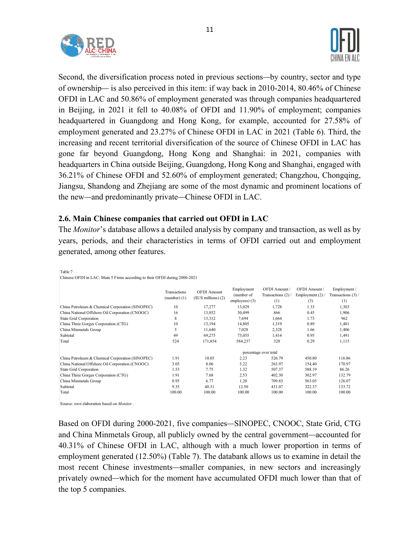



Second, the diversification process noted in previous sections—by country, sector and type of ownership— is also perceived in this item: if way back in 2010-2014, 80.46% of Chinese OFDI in LAC and 50.86% of employment generated was through companies headquartered in Beijing, in 2021 it fell to 40.08% of OFDI and 11.90% of employment; companies headquartered in Guangdong and Hong Kong, for example, accounted for 27.58% of employment generated and 23.27% of Chinese OFDI in LAC in 2021 (Table 6). Third, the increasing and recent territorial diversification of the source of Chinese OFDI in LAC has gone far beyond Guangdong, Hong Kong and Shanghai: in 2021, companies with headquarters in China outside Beijing, Guangdong, Hong Kong and Shanghai, engaged with 36.21% of Chinese OFDI and 52.60% of employment generated; Changzhou, Chongqing, Jiangsu, Shandong and Zhejiang are some of the most dynamic and prominent locations of the new—and predominantly private—Chinese OFDI in LAC.

#### **2.6. Main Chinese companies that carried out OFDI in LAC**

The *Monitor*'s database allows a detailed analysis by company and transaction, as well as by years, periods, and their characteristics in terms of OFDI carried out and employment generated, among other features.

| Table 7                                                                    |                                |                                              |                                            |                                          |                                          |                                          |
|----------------------------------------------------------------------------|--------------------------------|----------------------------------------------|--------------------------------------------|------------------------------------------|------------------------------------------|------------------------------------------|
| Chinese OFDI in LAC: Main 5 Firms according to their OFDI during 2000-2021 |                                |                                              |                                            |                                          |                                          |                                          |
|                                                                            | Transactions<br>$(number)$ (1) | <b>OFDI</b> Amount<br>$(SUS$ millions) $(2)$ | Employment<br>(number of<br>employees) (3) | OFDI Amount/<br>Transactions (2)/<br>(1) | OFDI Amount /<br>Employment (2) /<br>(3) | Employment /<br>Transactions (3)/<br>(1) |
| China Petroleum & Chemical Corporation (SINOPEC)                           | 10                             | 17,277                                       | 13,029                                     | 1,728                                    | 1.33                                     | 1,303                                    |
| China National Offshore Oil Corporation (CNOOC)                            | 16                             | 13,852                                       | 30,499                                     | 866                                      | 0.45                                     | 1,906                                    |
| State Grid Corporation                                                     | 8                              | 13,312                                       | 7,694                                      | 1,664                                    | 1.73                                     | 962                                      |
| China Three Gorges Corporation (CTG)                                       | 10                             | 13,194                                       | 14,805                                     | 1,319                                    | 0.89                                     | 1,481                                    |
| China Minmetals Group                                                      | 5                              | 11,640                                       | 7.028                                      | 2,328                                    | 1.66                                     | 1,406                                    |
| Subtotal                                                                   | 49                             | 69,275                                       | 73,055                                     | 1,414                                    | 0.95                                     | 1,491                                    |
| Total                                                                      | 524                            | 171,854                                      | 584,237                                    | 328                                      | 0.29                                     | 1,115                                    |
|                                                                            |                                |                                              |                                            | percentage over total                    |                                          |                                          |
| China Petroleum & Chemical Corporation (SINOPEC)                           | 1.91                           | 10.05                                        | 2.23                                       | 526.79                                   | 450.80                                   | 116.86                                   |
| China National Offshore Oil Corporation (CNOOC)                            | 3.05                           | 8.06                                         | 5.22                                       | 263.97                                   | 154.40                                   | 170.97                                   |
| State Grid Corporation                                                     | 1.53                           | 7.75                                         | 1.32                                       | 507.37                                   | 588.19                                   | 86.26                                    |
| China Three Gorges Corporation (CTG)                                       | 1.91                           | 7.68                                         | 2.53                                       | 402.30                                   | 302.97                                   | 132.79                                   |
| China Minmetals Group                                                      | 0.95                           | 6.77                                         | 1.20                                       | 709.83                                   | 563.05                                   | 126.07                                   |
| Subtotal                                                                   | 9.35                           | 40.31                                        | 12.50                                      | 431.07                                   | 322.37                                   | 133.72                                   |
| Total                                                                      | 100.00                         | 100.00                                       | 100.00                                     | 100.00                                   | 100.00                                   | 100.00                                   |
|                                                                            |                                |                                              |                                            |                                          |                                          |                                          |

Source: own elaboration based on *Monitor*.

Based on OFDI during 2000-2021, five companies—SINOPEC, CNOOC, State Grid, CTG and China Minmetals Group, all publicly owned by the central government—accounted for 40.31% of Chinese OFDI in LAC, although with a much lower proportion in terms of employment generated (12.50%) (Table 7). The databank allows us to examine in detail the most recent Chinese investments—smaller companies, in new sectors and increasingly privately owned—which for the moment have accumulated OFDI much lower than that of the top 5 companies.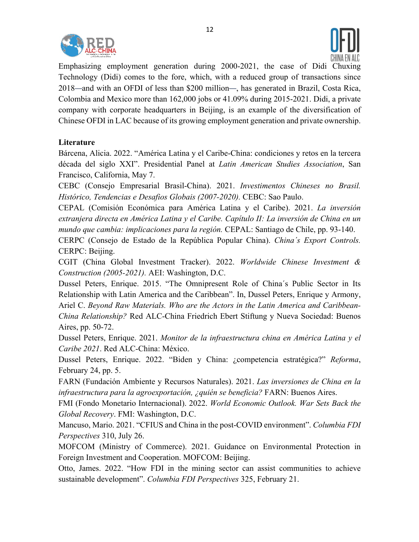



Emphasizing employment generation during 2000-2021, the case of Didi Chuxing Technology (Didi) comes to the fore, which, with a reduced group of transactions since 2018—and with an OFDI of less than \$200 million—, has generated in Brazil, Costa Rica, Colombia and Mexico more than 162,000 jobs or 41.09% during 2015-2021. Didi, a private company with corporate headquarters in Beijing, is an example of the diversification of Chinese OFDI in LAC because of its growing employment generation and private ownership.

#### **Literature**

Bárcena, Alicia. 2022. "América Latina y el Caribe-China: condiciones y retos en la tercera década del siglo XXI". Presidential Panel at *Latin American Studies Association*, San Francisco, California, May 7.

CEBC (Consejo Empresarial Brasil-China). 2021. *Investimentos Chineses no Brasil. Histórico, Tendencias e Desafios Globais (2007-2020).* CEBC: Sao Paulo.

CEPAL (Comisión Económica para América Latina y el Caribe). 2021. *La inversión extranjera directa en América Latina y el Caribe. Capítulo II: La inversión de China en un mundo que cambia: implicaciones para la región.* CEPAL: Santiago de Chile, pp. 93-140.

CERPC (Consejo de Estado de la República Popular China). *China´s Export Controls.* CERPC: Beijing.

CGIT (China Global Investment Tracker). 2022. *Worldwide Chinese Investment & Construction (2005-2021).* AEI: Washington, D.C.

Dussel Peters, Enrique. 2015. "The Omnipresent Role of China´s Public Sector in Its Relationship with Latin America and the Caribbean". In, Dussel Peters, Enrique y Armony, Ariel C. *Beyond Raw Materials. Who are the Actors in the Latin America and Caribbean-China Relationship?* Red ALC-China Friedrich Ebert Stiftung y Nueva Sociedad: Buenos Aires, pp. 50-72.

Dussel Peters, Enrique. 2021. *Monitor de la infraestructura china en América Latina y el Caribe 2021*. Red ALC-China: México.

Dussel Peters, Enrique. 2022. "Biden y China: ¿competencia estratégica?" *Reforma*, February 24, pp. 5.

FARN (Fundación Ambiente y Recursos Naturales). 2021. *Las inversiones de China en la infraestructura para la agroexportación, ¿quién se beneficia?* FARN: Buenos Aires.

FMI (Fondo Monetario Internacional). 2022. *World Economic Outlook. War Sets Back the Global Recovery*. FMI: Washington, D.C.

Mancuso, Mario. 2021. "CFIUS and China in the post-COVID environment". *Columbia FDI Perspectives* 310, July 26.

MOFCOM (Ministry of Commerce). 2021. Guidance on Environmental Protection in Foreign Investment and Cooperation. MOFCOM: Beijing.

Otto, James. 2022. "How FDI in the mining sector can assist communities to achieve sustainable development". *Columbia FDI Perspectives* 325, February 21.